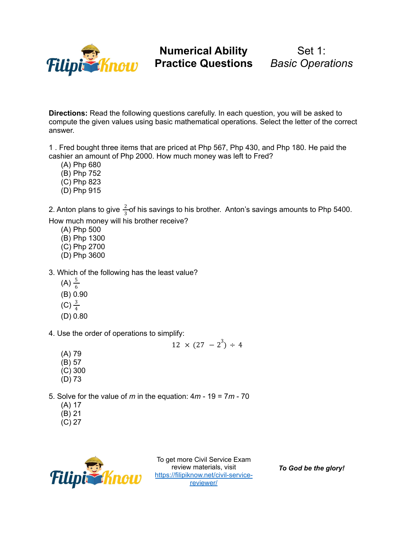

Set 1: *Basic Operations*

**Directions:** Read the following questions carefully. In each question, you will be asked to compute the given values using basic mathematical operations. Select the letter of the correct answer.

1 . Fred bought three items that are priced at Php 567, Php 430, and Php 180. He paid the cashier an amount of Php 2000. How much money was left to Fred?

- (A) Php 680
- (B) Php 752
- (C) Php 823
- (D) Php 915

2. Anton plans to give  $\frac{2}{3}$ of his savings to his brother. Anton's savings amounts to Php 5400. 3 How much money will his brother receive?

- (A) Php 500
- (B) Php 1300
- (C) Php 2700
- (D) Php 3600
- 3. Which of the following has the least value?
	- (A)  $\frac{5}{6}$ 6
	- (B) 0.90
	- $(C) \frac{3}{4}$
	- 4 (D) 0.80

4. Use the order of operations to simplify:

 $12 \times (27 - 2^3) \div 4$ 

- (A) 79
- (B) 57
- (C) 300 (D) 73
- 5. Solve for the value of *m* in the equation: 4*m* 19 = 7*m* 70
	- (A) 17
	- (B) 21
	- (C) 27



To get more Civil Service Exam review materials, visit [https://filipiknow.net/civil-service](https://filipiknow.net/civil-service-reviewer/)[reviewer/](https://filipiknow.net/civil-service-reviewer/)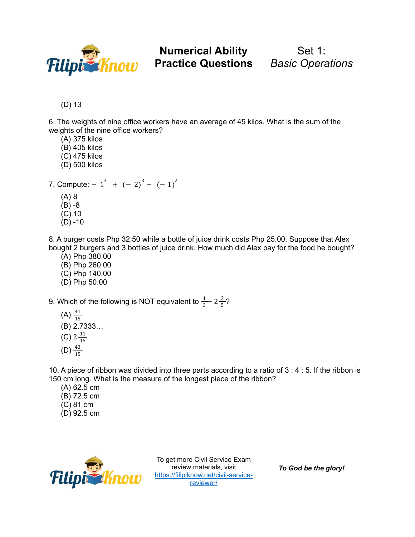

## **Numerical Ability Practice Questions** *Basic Operations*

Set 1:

(D) 13

6. The weights of nine office workers have an average of 45 kilos. What is the sum of the weights of the nine office workers?

- (A) 375 kilos
- (B) 405 kilos
- (C) 475 kilos
- (D) 500 kilos
- 7. Compute:  $-1^3$  +  $(-2)^3$   $(-1)^2$ (A) 8 (B) -8
	- (C) 10
	- $(D) -10$

8. A burger costs Php 32.50 while a bottle of juice drink costs Php 25.00. Suppose that Alex bought 2 burgers and 3 bottles of juice drink. How much did Alex pay for the food he bought?

- (A) Php 380.00
- (B) Php 260.00
- (C) Php 140.00
- (D) Php 50.00

9. Which of the following is NOT equivalent to  $\frac{1}{2}$ + 2 $\frac{2}{5}$ ?  $rac{1}{3}$  + 2 $rac{2}{5}$ 5

- (A)  $\frac{41}{15}$ 15 (B) 2.7333… (C)  $2\frac{11}{15}$ 15
- (D)  $\frac{43}{15}$ 15

10. A piece of ribbon was divided into three parts according to a ratio of 3 : 4 : 5. If the ribbon is 150 cm long. What is the measure of the longest piece of the ribbon?

- (A) 62.5 cm
- (B) 72.5 cm
- (C) 81 cm
- (D) 92.5 cm



To get more Civil Service Exam review materials, visit [https://filipiknow.net/civil-service](https://filipiknow.net/civil-service-reviewer/)[reviewer/](https://filipiknow.net/civil-service-reviewer/)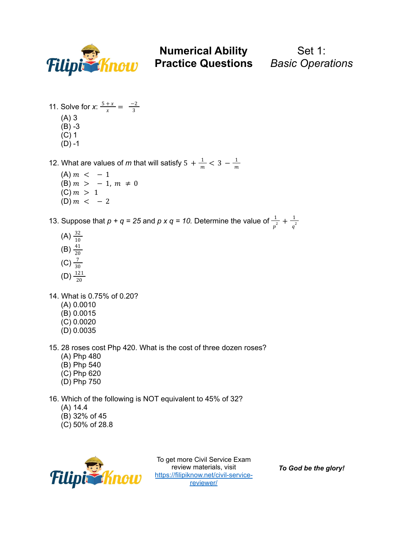

Set 1:

11. Solve for *x*:  $\frac{5+x}{x} = \frac{-2}{3}$ 3 (A) 3 (B) -3 (C) 1  $(D) -1$ 

12. What are values of *m* that will satisfy  $5 + \frac{1}{m} < 3 - \frac{1}{m}$  $\,m$ 

- $(A) m < -1$ (B)  $m > -1$ ,  $m \neq 0$  $(C) m > 1$ (D)  $m < -2$
- 13. Suppose that  $p + q = 25$  and  $p \times q = 10$ . Determine the value of  $\frac{1}{2}$  $rac{1}{p^2} + \frac{1}{q^2}$  $q^2$ 
	- $(A) \frac{32}{10}$ 10 (B)  $\frac{41}{20}$ 20  $(C) \frac{7}{20}$ 30
	- $(D) \frac{121}{20}$ 20
- 14. What is 0.75% of 0.20?
	- (A) 0.0010
	- (B) 0.0015
	- (C) 0.0020
	- (D) 0.0035
- 15. 28 roses cost Php 420. What is the cost of three dozen roses?
	- (A) Php 480
	- (B) Php 540
	- (C) Php 620
	- (D) Php 750
- 16. Which of the following is NOT equivalent to 45% of 32?
	- (A) 14.4
	- (B) 32% of 45
	- (C) 50% of 28.8



To get more Civil Service Exam review materials, visit [https://filipiknow.net/civil-service](https://filipiknow.net/civil-service-reviewer/)[reviewer/](https://filipiknow.net/civil-service-reviewer/)